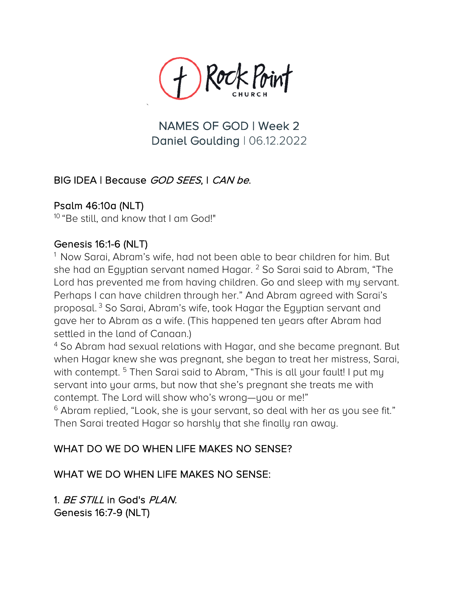

## NAMES OF GOD | Week 2 Daniel Goulding | 06.12.2022

## BIG IDEA | Because GOD SEES, I CAN be.

Psalm 46:10a (NLT)<br><sup>10</sup> "Be still, and know that I am God!"

Genesis 16:1-6 (NLT)<br><sup>1</sup> Now Sarai, Abram's wife, had not been able to bear children for him. But she had an Egyptian servant named Hagar. <sup>2</sup> So Sarai said to Abram, "The Lord has prevented me from having children. Go and sleep with my servant. Perhaps I can have children through her." And Abram agreed with Sarai's proposal. <sup>3</sup> So Sarai, Abram's wife, took Hagar the Egyptian servant and gave her to Abram as a wife. (This happened ten years after Abram had settled in the land of Canaan.)

<sup>4</sup> So Abram had sexual relations with Hagar, and she became pregnant. But when Hagar knew she was pregnant, she began to treat her mistress, Sarai, with contempt. <sup>5</sup> Then Sarai said to Abram, "This is all your fault! I put my servant into your arms, but now that she's pregnant she treats me with contempt. The Lord will show who's wrong—you or me!"

<sup>6</sup> Abram replied, "Look, she is your servant, so deal with her as you see fit." Then Sarai treated Hagar so harshly that she finally ran away.

## WHAT DO WE DO WHEN LIFE MAKES NO SENSE?

## WHAT WE DO WHEN LIFE MAKES NO SENSE:

1. BE STILL in God's PLAN. Genesis 16:7-9 (NLT)